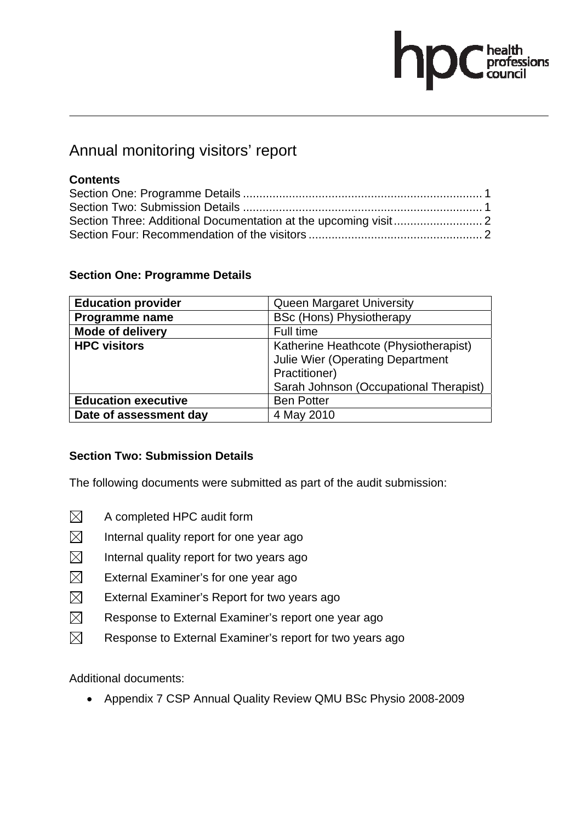# health<br>professions<br>council

# Annual monitoring visitors' report

## **Contents**

| <b>Education provider</b>  | Queen Margaret University               |  |  |  |
|----------------------------|-----------------------------------------|--|--|--|
| <b>Programme name</b>      | <b>BSc (Hons) Physiotherapy</b>         |  |  |  |
| Mode of delivery           | Full time                               |  |  |  |
| <b>HPC visitors</b>        | Katherine Heathcote (Physiotherapist)   |  |  |  |
|                            | <b>Julie Wier (Operating Department</b> |  |  |  |
|                            | Practitioner)                           |  |  |  |
|                            | Sarah Johnson (Occupational Therapist)  |  |  |  |
| <b>Education executive</b> | <b>Ben Potter</b>                       |  |  |  |
| Date of assessment day     | 4 May 2010                              |  |  |  |

#### **Section One: Programme Details**

#### **Section Two: Submission Details**

The following documents were submitted as part of the audit submission:

- $\boxtimes$  A completed HPC audit form
- $\boxtimes$  Internal quality report for one year ago
- $\boxtimes$  Internal quality report for two years ago
- $\boxtimes$  External Examiner's for one year ago
- $\boxtimes$  External Examiner's Report for two years ago
- $\boxtimes$  Response to External Examiner's report one year ago
- $\boxtimes$  Response to External Examiner's report for two years ago

Additional documents:

• Appendix 7 CSP Annual Quality Review QMU BSc Physio 2008-2009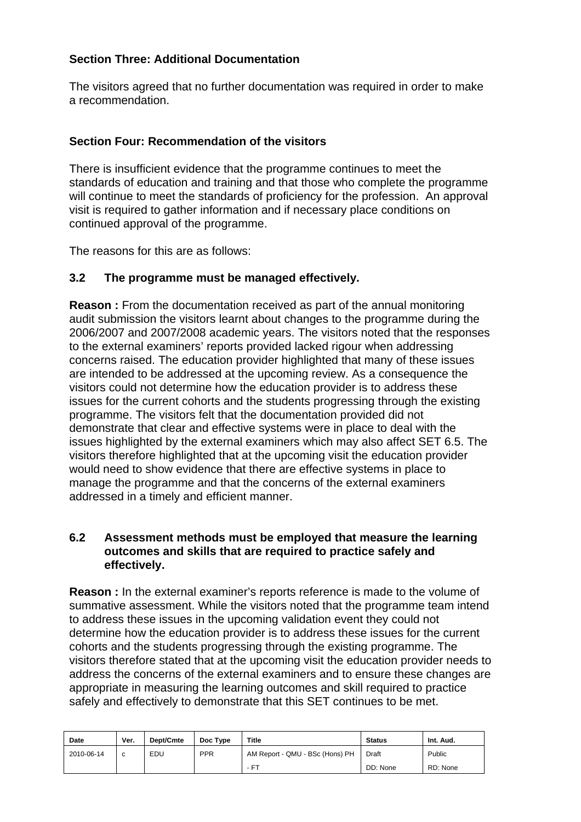#### **Section Three: Additional Documentation**

The visitors agreed that no further documentation was required in order to make a recommendation.

#### **Section Four: Recommendation of the visitors**

There is insufficient evidence that the programme continues to meet the standards of education and training and that those who complete the programme will continue to meet the standards of proficiency for the profession. An approval visit is required to gather information and if necessary place conditions on continued approval of the programme.

The reasons for this are as follows:

## **3.2 The programme must be managed effectively.**

**Reason :** From the documentation received as part of the annual monitoring audit submission the visitors learnt about changes to the programme during the 2006/2007 and 2007/2008 academic years. The visitors noted that the responses to the external examiners' reports provided lacked rigour when addressing concerns raised. The education provider highlighted that many of these issues are intended to be addressed at the upcoming review. As a consequence the visitors could not determine how the education provider is to address these issues for the current cohorts and the students progressing through the existing programme. The visitors felt that the documentation provided did not demonstrate that clear and effective systems were in place to deal with the issues highlighted by the external examiners which may also affect SET 6.5. The visitors therefore highlighted that at the upcoming visit the education provider would need to show evidence that there are effective systems in place to manage the programme and that the concerns of the external examiners addressed in a timely and efficient manner.

#### **6.2 Assessment methods must be employed that measure the learning outcomes and skills that are required to practice safely and effectively.**

**Reason :** In the external examiner's reports reference is made to the volume of summative assessment. While the visitors noted that the programme team intend to address these issues in the upcoming validation event they could not determine how the education provider is to address these issues for the current cohorts and the students progressing through the existing programme. The visitors therefore stated that at the upcoming visit the education provider needs to address the concerns of the external examiners and to ensure these changes are appropriate in measuring the learning outcomes and skill required to practice safely and effectively to demonstrate that this SET continues to be met.

| Date       | Ver. | Dept/Cmte | Doc Type   | <b>Title</b>                    | <b>Status</b> | Int. Aud. |
|------------|------|-----------|------------|---------------------------------|---------------|-----------|
| 2010-06-14 | C    | EDU       | <b>PPR</b> | AM Report - QMU - BSc (Hons) PH | Draft         | Public    |
|            |      |           |            | $-FT$                           | DD: None      | RD: None  |